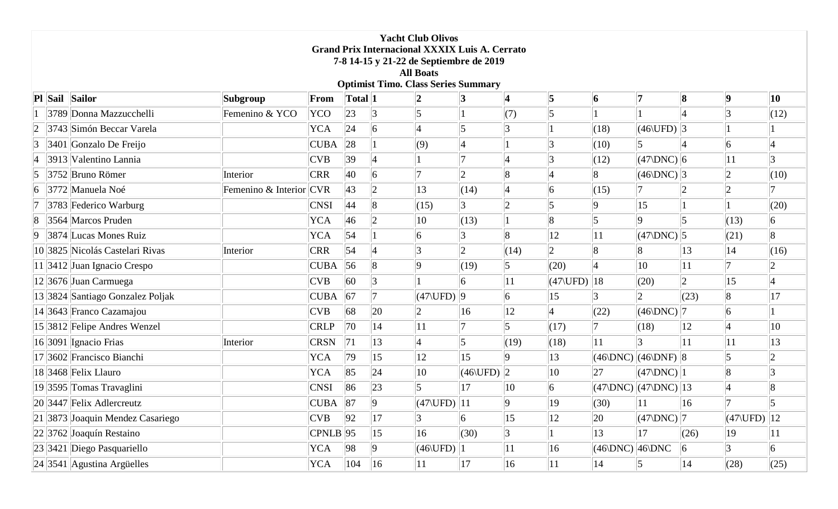|                                            | <b>Yacht Club Olivos</b><br><b>Grand Prix Internacional XXXIX Luis A. Cerrato</b><br>7-8 14-15 y 21-22 de Septiembre de 2019<br><b>All Boats</b> |                                  |                         |                             |              |                |                                  |                             |                 |                          |                  |                                             |              |                                          |                 |
|--------------------------------------------|--------------------------------------------------------------------------------------------------------------------------------------------------|----------------------------------|-------------------------|-----------------------------|--------------|----------------|----------------------------------|-----------------------------|-----------------|--------------------------|------------------|---------------------------------------------|--------------|------------------------------------------|-----------------|
| <b>Optimist Timo. Class Series Summary</b> |                                                                                                                                                  |                                  |                         |                             |              |                |                                  |                             |                 |                          |                  |                                             |              |                                          |                 |
|                                            |                                                                                                                                                  | Pl Sail Sailor                   | Subgroup                | From                        | Total 1      |                |                                  |                             | 4               | $\vert 5 \vert$          | 6                |                                             | 8            | $\vert \bm 9$                            | 10              |
|                                            |                                                                                                                                                  | 3789 Donna Mazzucchelli          | Femenino & YCO          | YCO                         | $ 23\rangle$ |                |                                  |                             | (7)             | $\vert$ 5                |                  |                                             |              |                                          | (12)            |
| $ 2\rangle$                                |                                                                                                                                                  | 3743 Simón Beccar Varela         |                         | <b>YCA</b>                  | 24           | 6              |                                  |                             | $\vert 3$       |                          | (18)             | $(46$ UFD $)$ 3                             |              |                                          |                 |
| 3                                          |                                                                                                                                                  | 3401 Gonzalo De Freijo           |                         | <b>CUBA</b>                 | 28           |                | (9)                              | $\overline{A}$              |                 | 3                        | (10)             |                                             |              | $\overline{6}$                           |                 |
| 4                                          |                                                                                                                                                  | 3913 Valentino Lannia            |                         | <b>CVB</b>                  | 39           |                |                                  |                             | 4               | 3                        | (12)             | $ (47\rangle$ DNC $) 6$                     |              | 11                                       | 3               |
| $\vert 5 \vert$                            |                                                                                                                                                  | 3752 Bruno Römer                 | Interior                | <b>CRR</b>                  | 40           | 6              |                                  | $\mathcal{D}_{\mathcal{L}}$ | $\overline{8}$  |                          | $\vert 8$        | (46)DNC                                     |              | $\overline{2}$                           | (10)            |
| 6                                          |                                                                                                                                                  | 3772 Manuela Noé                 | Femenino & Interior CVR |                             | 43           | $ 2\rangle$    | 13                               | (14)                        | $\vert 4$       | 6                        | (15)             |                                             |              |                                          |                 |
|                                            |                                                                                                                                                  | 3783 Federico Warburg            |                         | <b>CNSI</b>                 | 44           |                | (15)                             | 3                           | $ 2\>$          | 5                        | <b>g</b>         | 15                                          |              |                                          | (20)            |
| 8                                          |                                                                                                                                                  | 3564 Marcos Pruden               |                         | <b>YCA</b>                  | 46           |                | 10                               | (13)                        |                 | 8                        | 5                |                                             |              | (13)                                     | 6               |
| $ 9\rangle$                                |                                                                                                                                                  | 3874 Lucas Mones Ruiz            |                         | <b>YCA</b>                  | 54           |                | 6                                |                             | $\overline{8}$  | 12                       | 11               | $ (47\rangle$ DNC $) 5$                     |              | (21)                                     | $\vert 8$       |
|                                            |                                                                                                                                                  | 10 3825 Nicolás Castelari Rivas  | Interior                | <b>CRR</b>                  | 54           |                |                                  | $ 2\rangle$                 | (14)            | $ 2\rangle$              | $\overline{8}$   |                                             | 13           | 14                                       | (16)            |
|                                            |                                                                                                                                                  | $11$  3412 Juan Ignacio Crespo   |                         | <b>CUBA</b>                 | 56           | $\overline{8}$ | Q                                | (19)                        | $\vert 5 \vert$ | (20)                     | $\overline{4}$   | 10                                          | 11           |                                          |                 |
|                                            |                                                                                                                                                  | 12 3676 Juan Carmuega            |                         | CVB                         | 60           |                |                                  |                             | 11              | $ (47\rangle$ UFD $) 18$ |                  | (20)                                        | $ 2\rangle$  | 15                                       |                 |
|                                            |                                                                                                                                                  | 13 3824 Santiago Gonzalez Poljak |                         | <b>CUBA</b>                 | 67           |                | $ (47\rangle$ UFD $) 9$          |                             | $ 6\rangle$     | 15                       | 3                |                                             | (23)         | 8                                        | 17              |
|                                            |                                                                                                                                                  | 14 3643 Franco Cazamajou         |                         | CVB                         | 68           | $ 20\rangle$   | $\overline{2}$                   | 16                          | $ 12\rangle$    | $\vert 4$                | (22)             | $ (46\rangle$ DNC $) 7$                     |              | $\vert 6 \vert$                          |                 |
|                                            |                                                                                                                                                  | 15 3812 Felipe Andres Wenzel     |                         | <b>CRLP</b>                 | 70           | 14             | 11                               |                             | $\vert 5 \vert$ | (17)                     | 17               | (18)                                        | 12           |                                          | $ 10\rangle$    |
|                                            |                                                                                                                                                  | 16 3091 Ignacio Frias            | Interior                | <b>CRSN</b>                 | 71           | 13             | $\overline{4}$                   | 15                          | (19)            | (18)                     | 11               |                                             | 11           | 11                                       | 13              |
|                                            |                                                                                                                                                  | 17 3602 Francisco Bianchi        |                         | <b>YCA</b>                  | 79           | 15             | $ 12\rangle$                     | 15                          | $\vert 9 \vert$ | $ 13\rangle$             |                  | $ (46\rangle$ DNC $) (46\rangle$ DNF $) 8$  |              |                                          |                 |
|                                            |                                                                                                                                                  | 18 3468 Felix Llauro             |                         | <b>YCA</b>                  | 85           | 24             | $ 10\rangle$                     | $(46\text{UFD})$ 2          |                 | $ 10\rangle$             | 27               | $ (47\rangle$ DNC $) 1$                     |              | $\overline{8}$                           | 3               |
|                                            |                                                                                                                                                  | 19 3595 Tomas Travaglini         |                         | <b>CNSI</b>                 | 86           | 23             | 5                                | 17                          | $ 10\rangle$    | $ 6\rangle$              |                  | $ (47\rangle$ DNC $) (47\rangle$ DNC $) 13$ |              |                                          | $\vert 8$       |
|                                            |                                                                                                                                                  | $ 20 $ 3447 Felix Adlercreutz    |                         | $\overline{\text{CUBA}}$ 87 |              | $ 9\rangle$    | $(47$ (UFD) $ 11$                |                             | $ 9\rangle$     | $ 19\rangle$             | $(30)$  11       |                                             | $\vert$ 16   |                                          | $\vert 5 \vert$ |
|                                            |                                                                                                                                                  | 21 3873 Joaquin Mendez Casariego |                         | CVB                         | 92           | 17             | 3                                | 6                           | 15              | $ 12\rangle$             | 20               | $ (47\rangle$ DNC $) 7$                     |              | $(47\backslash \text{UFD})$ $ 12\rangle$ |                 |
|                                            |                                                                                                                                                  | 22 3762 Joaquín Restaino         |                         | $CPNLB$ 95                  |              | 15             | 16                               | (30)                        | 3               |                          | 13               | 17                                          | (26)         | $ 19\rangle$                             | 11              |
|                                            |                                                                                                                                                  | $ 23 3421 $ Diego Pasquariello   |                         | YCA                         | 98           | $ 9\rangle$    | $(46\text{\backslash UFD})$ $ 1$ |                             | 11              | 16                       | $(46)DNC$ 46 DNC |                                             | $ 6\rangle$  | 3                                        | 6               |
|                                            |                                                                                                                                                  | $ 24 $ 3541 Agustina Argüelles   |                         | YCA                         | 104          | $ 16\rangle$   | $ 11\rangle$                     | 17                          | $ 16\rangle$    | $\vert$ 11               | 14               | 5                                           | $ 14\rangle$ | (28)                                     | (25)            |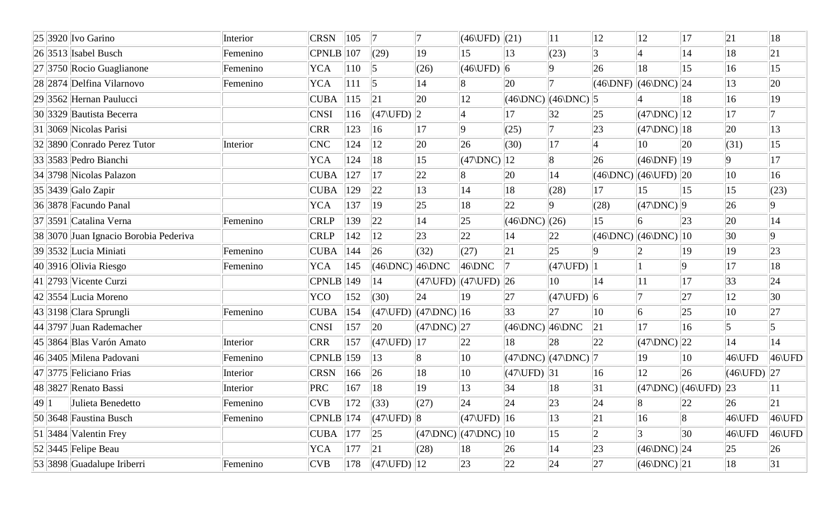|      | $ 25 3920 $ Ivo Garino                | Interior | <b>CRSN</b>   | 105           | 17                                                          |                                                                                                              | $(46\text{UFD})$ (21)          |                                               | 11                      | 12             | <sup>12</sup>                                   | 17                                          | 21                       | 18             |
|------|---------------------------------------|----------|---------------|---------------|-------------------------------------------------------------|--------------------------------------------------------------------------------------------------------------|--------------------------------|-----------------------------------------------|-------------------------|----------------|-------------------------------------------------|---------------------------------------------|--------------------------|----------------|
|      | $26$ 3513 Isabel Busch                | Femenino | CPNLB         | 107           | (29)                                                        | 19                                                                                                           | 15                             | 13                                            | (23)                    | $\overline{3}$ |                                                 | 14                                          | 18                       | $ 21\>$        |
|      | $ 27 3750 $ Rocio Guaglianone         | Femenino | <b>YCA</b>    | $ 110\rangle$ | $\vert$ 5                                                   | (26)                                                                                                         | $(46\backslash \text{UFD})$ 6  |                                               | $ 9\rangle$             | 26             | 18                                              | $ 15\rangle$                                | 16                       | 15             |
|      | 28 2874 Delfina Vilarnovo             | Femenino | <b>YCA</b>    | 111           | $\vert$ 5                                                   | 14                                                                                                           | $\vert 8$                      | 20                                            |                         | (46)DNF        | $\left  (46\rangle$ DNC $)$ $\left  24 \right $ |                                             | 13                       | 20             |
|      | 29 3562 Hernan Paulucci               |          | <b>CUBA</b>   | 115           | 21                                                          | 20                                                                                                           | 12                             | $ (46\rangle$ DNC $) (46\rangle$ DNC $) 5$    |                         |                |                                                 | 18                                          | 16                       | $ 19\rangle$   |
|      | 30 3329 Bautista Becerra              |          | <b>CNSI</b>   | 116           | $ (47\rangle$ UFD $) 2$                                     |                                                                                                              | $\vert$ 4                      | 17                                            | 32                      | $ 25\rangle$   | $(47)DNC$   12                                  |                                             | 17                       |                |
|      | $ 31 $ 3069 Nicolas Parisi            |          | <b>CRR</b>    | 123           | $ 16\rangle$                                                | 17                                                                                                           | $ 9\rangle$                    | (25)                                          | 7                       | 23             | $ (47\rangle$ DNC $) 18$                        |                                             | 20                       | $ 13\rangle$   |
|      | 32 3890 Conrado Perez Tutor           | Interior | CNC           | 124           | 12                                                          | 20                                                                                                           | 26                             | (30)                                          | 17                      | $\overline{4}$ | $ 10\rangle$                                    | $ 20\rangle$                                | (31)                     | $ 15\rangle$   |
|      | $ 33 $ 3583 Pedro Bianchi             |          | <b>YCA</b>    | 124           | 18                                                          | 15                                                                                                           | $(47)DNC$ ][12                 |                                               | 8                       | 26             | $(46)$ DNF $)$  19                              |                                             | $ 9\rangle$              | 17             |
|      | 34 3798 Nicolas Palazon               |          | <b>CUBA</b>   | 127           | 17                                                          | $ 22\rangle$                                                                                                 |                                | <b>20</b>                                     | 14                      | (46)DNC        | $(46$ UFD $)$ 20                                |                                             | $ 10\rangle$             | 16             |
|      | $ 35 $ 3439 Galo Zapir                |          | <b>CUBA</b>   | 129           | 22                                                          | 13                                                                                                           | 14                             | 18                                            | (28)                    | 17             | 15                                              | $ 15\rangle$                                | 15                       | (23)           |
|      | 36 3878 Facundo Panal                 |          | <b>YCA</b>    | 137           | $ 19\rangle$                                                | $ 25\rangle$                                                                                                 | 18                             | 22                                            | 9                       | (28)           | $ (47\rangle$ DNC $) 9$                         |                                             | 26                       | 9              |
|      | 37 3591 Catalina Verna                | Femenino | <b>CRLP</b>   | 139           | 22                                                          | 14                                                                                                           | 25                             | $(46)DNC$ (26)                                |                         | 15             | 6                                               | $ 23\rangle$                                | $ 20\rangle$             | 14             |
|      | 38 3070 Juan Ignacio Borobia Pederiva |          | <b>CRLP</b>   | 142           | 12                                                          | 23                                                                                                           | 22                             | 14                                            | $ 22\rangle$            |                | $(46)DNC$ $(46)DNC$ $10$                        |                                             | 30                       | $\overline{9}$ |
|      | 39 3532 Lucia Miniati                 | Femenino | <b>CUBA</b>   | 144           | 26                                                          | (32)                                                                                                         | (27)                           | 21                                            | $ 25\rangle$            | 9              |                                                 | 19                                          | $ 19\rangle$             | 23             |
|      | $ 40 $ 3916 Olivia Riesgo             | Femenino | <b>YCA</b>    | 145           | $ (46\rangle$ DNC $) 46\rangle$ DNC                         |                                                                                                              | $ 46\rangle$ DNC               |                                               | $(47$ UFD $)$ 1         |                |                                                 | 9                                           | 17                       | 18             |
|      | $ 41 $ 2793 Vicente Curzi             |          | <b>CPNLB</b>  | 149           | 14                                                          | $\left  \left( 47\right\rangle \text{UFD}\right) \left  \left( 47\right\rangle \text{UFD}\right) \right  26$ |                                |                                               | $ 10\rangle$            | 14             | 11                                              | 17                                          | 33                       | 24             |
|      | $ 42 3554 $ Lucia Moreno              |          | <b>YCO</b>    | 152           | (30)                                                        | 24                                                                                                           | 19                             | 27                                            | $ (47\rangle$ UFD $) 6$ |                |                                                 | 27                                          | 12                       | 30             |
|      | 43 3198 Clara Sprungli                | Femenino | <b>CUBA</b>   | 154           | $ (47\rangle$ UFD)                                          | $\left  \frac{47}{DNC} \right  16$                                                                           |                                | $ 33\rangle$                                  | 27                      | 10             | $\vert 6 \vert$                                 | 25                                          | 10                       | 27             |
|      | 44 3797 Juan Rademacher               |          | <b>CNSI</b>   | 157           | $ 20\rangle$                                                | $ (47\rangle$ DNC $) 27$                                                                                     |                                | $(46)DNC$ 46 DNC                              |                         | 21             | 17                                              | $ 16\rangle$                                | 15                       | 5              |
|      | 45 3864 Blas Varón Amato              | Interior | <b>CRR</b>    | 157           | $ (47\rangle$ UFD $) 17$                                    |                                                                                                              | $ 22\rangle$                   | 18                                            | 28                      | $ 22\rangle$   | $ (47\rangle$ DNC $) 22$                        |                                             | 14                       | 14             |
|      | 46 3405 Milena Padovani               | Femenino | <b>CPNLB</b>  | 159           | 13                                                          | 8                                                                                                            | 10                             | $ (47\rangle$ DNC $) $ $(47\rangle$ DNC $) 7$ |                         |                | 19                                              | $ 10\rangle$                                | 46\UFD                   | 46\UFD         |
|      | 47 3775 Feliciano Frias               | Interior | <b>CRSN</b>   | 166           | 26                                                          | 18                                                                                                           | $ 10\rangle$                   | $ (47\rangle$ UFD $) 31$                      |                         | 16             | 12                                              | $ 26\rangle$                                | $ (46\rangle$ UFD $) 27$ |                |
|      | 48 3827 Renato Bassi                  | Interior | PRC           | 167           | 18                                                          | 19                                                                                                           | 13                             | 34                                            | 18                      | 31             |                                                 | $ (47\rangle$ DNC $) (46\rangle$ UFD $) 23$ |                          | 11             |
| 49 1 | Julieta Benedetto                     | Femenino | CVB           | 172           | $\vert$ (33)                                                | (27)                                                                                                         | 24                             | 24                                            | 23                      | 24             | 8                                               | $ 22\rangle$                                | 26                       | 21             |
|      | $ 50 $ 3648 Faustina Busch            | Femenino | $ CPNLB $ 174 |               | $\Vert$ (47\UFD) $\Vert$ 8                                  |                                                                                                              | $(47\backslash \text{UFD})$ 16 |                                               | $ 13\rangle$            | 21             | 16                                              | $\vert 8 \vert$                             | 46\UFD                   | 46\UFD         |
|      | $ 51 $ 3484 Valentin Frey             |          | <b>CUBA</b>   | 177           | 25                                                          | $ (47\rangle$ DNC $) (47\rangle$ DNC $) 10$                                                                  |                                |                                               | 15                      | $ 2\rangle$    | 3                                               | 30                                          | 46\UFD                   | 46\UFD         |
|      | $ 52 $ 3445 Felipe Beau               |          | YCA           | 177           | 21                                                          | (28)                                                                                                         | 18                             | 26                                            | 14                      | 23             | $(46)DNC$ $ 24$                                 |                                             | 25                       | 26             |
|      | 53 3898 Guadalupe Iriberri            | Femenino | CVB           | 178           | $\left  \left( 47 \backslash \text{UFD} \right) \right  12$ |                                                                                                              | 23                             | 22                                            | 24                      | 27             | $ (46\rangle$ DNC $) 21$                        |                                             | 18                       | 31             |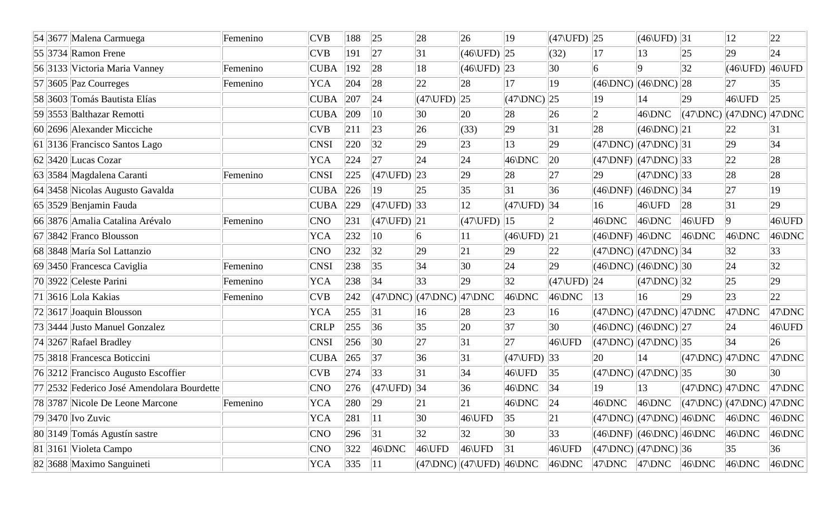|  | 54 3677 Malena Carmuega                    | Femenino | <b>CVB</b>  | 188 | 25                                                                                                  | 28                             | 26                                                     | 19                                        | $ (47\rangle$ UFD $) 25$ |                  | $(46$ (UFD) 31                                     |                                                                                             | 12               | 22           |
|--|--------------------------------------------|----------|-------------|-----|-----------------------------------------------------------------------------------------------------|--------------------------------|--------------------------------------------------------|-------------------------------------------|--------------------------|------------------|----------------------------------------------------|---------------------------------------------------------------------------------------------|------------------|--------------|
|  | $ 55 3734 $ Ramon Frene                    |          | <b>CVB</b>  | 191 | 27                                                                                                  | 31                             | $(46\text{UFD})$ 25                                    |                                           | (32)                     | 17               | 13                                                 | 25                                                                                          | 29               | 24           |
|  | 56 3133 Victoria Maria Vanney              | Femenino | <b>CUBA</b> | 192 | 28                                                                                                  | 18                             | $(46\text{UFD})$ 23                                    |                                           | 30                       | 6                | lQ.                                                | 32                                                                                          | $(46\text{UFD})$ | $46$ UFD     |
|  | $ 57 3605 $ Paz Courreges                  | Femenino | <b>YCA</b>  | 204 | 28                                                                                                  | 22                             | 28                                                     | 17                                        | 19                       |                  | $(46)DNC$ $(46)DNC$ $28$                           |                                                                                             | 27               | 35           |
|  | 58 3603 Tomás Bautista Elías               |          | <b>CUBA</b> | 207 | 24                                                                                                  | $(47\backslash \text{UFD})$ 25 |                                                        | $\vert (47\rangle$ DNC) $\vert 25\rangle$ |                          | 19               | 14                                                 | 29                                                                                          | 46\UFD           | 25           |
|  | 59 3553 Balthazar Remotti                  |          | <b>CUBA</b> | 209 | $ 10\rangle$                                                                                        | 30                             | 20                                                     | 28                                        | 26                       | $\overline{2}$   | $46\rangle$ DNC                                    | $\left  \frac{47}{DNC} \right  \left  \frac{47}{DNC} \right  \left  \frac{47}{DNC} \right $ |                  |              |
|  | 60 2696 Alexander Micciche                 |          | <b>CVB</b>  | 211 | 23                                                                                                  | 26                             | (33)                                                   | 29                                        | 31                       | 28               | $ (46\rangle$ DNC $) 21$                           |                                                                                             | 22               | 31           |
|  | 61 3136 Francisco Santos Lago              |          | <b>CNSI</b> | 220 | 32                                                                                                  | 29                             | 23                                                     | 13                                        | 29                       |                  | $(47)DNC$ $ (47)DNC)$ 31                           |                                                                                             | 29               | 34           |
|  | $ 62 $ 3420 Lucas Cozar                    |          | <b>YCA</b>  | 224 | 27                                                                                                  | 24                             | 24                                                     | $46$ DNC                                  | $ 20\rangle$             |                  | $(47)DNF$ $ (47)DNC$ 33                            |                                                                                             | 22               | 28           |
|  | 63 3584 Magdalena Caranti                  | Femenino | <b>CNSI</b> | 225 | $(47\backslash \text{UFD})$                                                                         | 23                             | 29                                                     | 28                                        | 27                       | 29               | $ (47\rangle$ DNC $) 33$                           |                                                                                             | 28               | 28           |
|  | 64 3458 Nicolas Augusto Gavalda            |          | <b>CUBA</b> | 226 | 19                                                                                                  | 25                             | 35                                                     | 31                                        | 36                       |                  | $(46)DNF$ $ (46)DNC)$ 34                           |                                                                                             | 27               | $ 19\rangle$ |
|  | $ 65 3529 $ Benjamin Fauda                 |          | <b>CUBA</b> | 229 | $(47)UFD$ 33                                                                                        |                                | 12                                                     | $(47)$ UFD $)$ 34                         |                          | 16               | 46\UFD                                             | 28                                                                                          | 31               | 29           |
|  | 66 3876 Amalia Catalina Arévalo            | Femenino | <b>CNO</b>  | 231 | $ (47\rangle$ UFD $) 21$                                                                            |                                | $(47)UFD$ 15                                           |                                           | $ 2\rangle$              | 46\DNC           | $46$ DNC                                           | $46$ UFD                                                                                    | $ 9\rangle$      | 46\UFD       |
|  | $ 67 3842 $ Franco Blousson                |          | <b>YCA</b>  | 232 | $ 10\rangle$                                                                                        | 6                              | 11                                                     | $(46$ (UFD) $ 21$                         |                          | $(46)DNF$ 46 DNC |                                                    | $ 46\rangle$ DNC                                                                            | 46\DNC           | 46\DNC       |
|  | 68 3848 María Sol Lattanzio                |          | <b>CNO</b>  | 232 | 32                                                                                                  | 29                             | 21                                                     | 29                                        | 22                       |                  | $(47)DNC$ $ (47)DNC)$ 34                           |                                                                                             | 32               | 33           |
|  | 69 3450 Francesca Caviglia                 | Femenino | <b>CNSI</b> | 238 | 35                                                                                                  | 34                             | 30                                                     | 24                                        | 29                       |                  | $(46)DNC$ $(46)DNC$ 30                             |                                                                                             | 24               | 32           |
|  | 70 3922 Celeste Parini                     | Femenino | <b>YCA</b>  | 238 | 34                                                                                                  | 33                             | 29                                                     | 32                                        | $ (47\rangle$ UFD $) 24$ |                  | $ (47\rangle$ DNC $) 32$                           |                                                                                             | $ 25\rangle$     | 29           |
|  | $ 71 $ 3616 Lola Kakias                    | Femenino | <b>CVB</b>  | 242 | $\left  \left( 47\right\rangle \text{DNC} \right  \left  \left( 47\right\rangle \text{DNC} \right $ |                                | $ 47\rangle$ DNC                                       | $46$ DNC                                  | $ 46\rangle$ DNC         | 13               | 16                                                 | 29                                                                                          | $ 23\rangle$     | $ 22\rangle$ |
|  | 72 3617 Joaquin Blousson                   |          | <b>YCA</b>  | 255 | 31                                                                                                  | 16                             | 28                                                     | 23                                        | 16                       |                  | $(47)DNC$ $ (47)DNC$ $ 47\rangle DNC$              |                                                                                             | $47$ \DNC        | $47$ DNC     |
|  | 73 3444 Justo Manuel Gonzalez              |          | <b>CRLP</b> | 255 | 36                                                                                                  | 35                             | 20                                                     | 37                                        | $ 30\rangle$             |                  | $(46)DNC$ $(46)DNC$ $27$                           |                                                                                             | 24               | 46\UFD       |
|  | $ 74 3267 $ Rafael Bradley                 |          | <b>CNSI</b> | 256 | $ 30\rangle$                                                                                        | 27                             | 31                                                     | 27                                        | 46\UFD                   |                  | $(47)DNC$ $ (47)DNC)$ 35                           |                                                                                             | 34               | 26           |
|  | 75 3818 Francesca Boticcini                |          | <b>CUBA</b> | 265 | 37                                                                                                  | 36                             | 31                                                     | $(47\backslash \text{UFD})$ 33            |                          | 20               | 14                                                 | $(47)DNC$ 47 DNC                                                                            |                  | 47\DNC       |
|  | 76 3212 Francisco Augusto Escoffier        |          | <b>CVB</b>  | 274 | 33                                                                                                  | 31                             | 34                                                     | $46$ UFD                                  | 35                       |                  | $(47)DNC$ $ (47)DNC)$ 35                           |                                                                                             | 30               | 30           |
|  | 77 2532 Federico José Amendolara Bourdette |          | <b>CNO</b>  | 276 | $(47)UFD$ 34                                                                                        |                                | 36                                                     | $46\rangle$ DNC                           | 34                       | 19               | 13                                                 | $(47)DNC$ $ 47\rangle DNC$                                                                  |                  | $47$ DNC     |
|  | 78 3787 Nicole De Leone Marcone            | Femenino | YCA         | 280 | 29                                                                                                  | 21                             | 21                                                     | $46$ DNC                                  | 24                       |                  |                                                    | $ 46\rangle$ DNC $ 46\rangle$ DNC $ (47\rangle$ DNC $) (47\rangle$ DNC $ 47\rangle$ DNC     |                  |              |
|  | $ 79 3470 $ Ivo Zuvic                      |          | <b>YCA</b>  | 281 | 11                                                                                                  | 30                             | $46$ UFD                                               | 35                                        | 21                       |                  | $(47)DNC$ $(47)DNC$ $46$ $DNC$                     |                                                                                             | $ 46\rangle$ DNC | $46$ DNC     |
|  | 80 3149 Tomás Agustín sastre               |          | <b>CNO</b>  | 296 | 31                                                                                                  | 32                             | 32                                                     | 30                                        | 33                       |                  | $(46)DNF$ $(46)DNC$ $46$ DNC                       |                                                                                             | $ 46\rangle$ DNC | 46\DNC       |
|  | 81 3161 Violeta Campo                      |          | <b>CNO</b>  | 322 | $ 46\rangle$ DNC                                                                                    | $46$ UFD                       | $46$ UFD                                               | 31                                        | $46$ UFD                 |                  | $ (47\rangle$ DNC $) (47\rangle$ DNC $) 36$        |                                                                                             | 35               | 36           |
|  | 82 3688 Maximo Sanguineti                  |          | <b>YCA</b>  | 335 | $\vert$ 11                                                                                          |                                | $ (47\rangle$ DNC $) (47\rangle$ UFD $) 46\rangle$ DNC |                                           | $ 46\rangle$ DNC         |                  | $ 47\rangle$ DNC $ 47\rangle$ DNC $ 46\rangle$ DNC |                                                                                             | $46$ DNC         | $46$ DNC     |